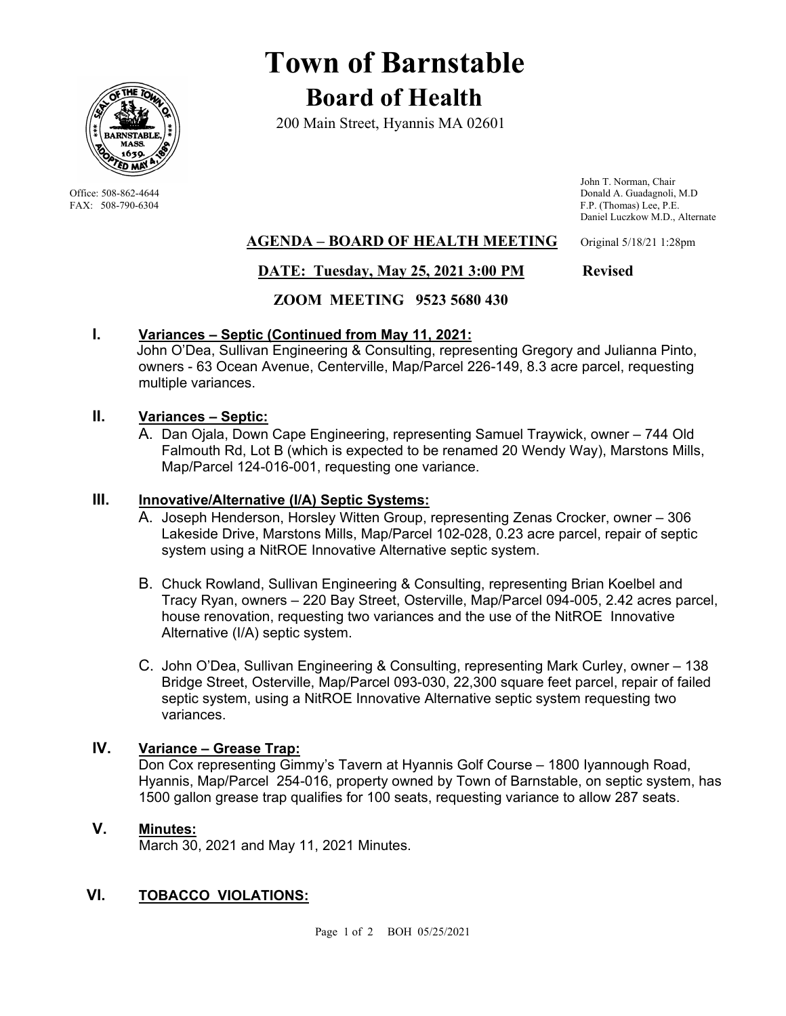

# **Town of Barnstable Board of Health**

200 Main Street, Hyannis MA 02601

 John T. Norman, Chair Office: 508-862-4644 Donald A. Guadagnoli, M.D<br>
FAX: 508-790-6304 F.P. (Thomas) Lee, P.E. F.P. (Thomas) Lee, P.E. Daniel Luczkow M.D., Alternate

# **AGENDA – BOARD OF HEALTH MEETING** Original 5/18/21 1:28pm

# **DATE: Tuesday, May 25, 2021 3:00 PM Revised**

# **ZOOM MEETING 9523 5680 430**

# **I. Variances – Septic (Continued from May 11, 2021:**

 John O'Dea, Sullivan Engineering & Consulting, representing Gregory and Julianna Pinto, owners - 63 Ocean Avenue, Centerville, Map/Parcel 226-149, 8.3 acre parcel, requesting multiple variances.

# **II. Variances – Septic:**

A. Dan Ojala, Down Cape Engineering, representing Samuel Traywick, owner – 744 Old Falmouth Rd, Lot B (which is expected to be renamed 20 Wendy Way), Marstons Mills, Map/Parcel 124-016-001, requesting one variance.

#### **III. Innovative/Alternative (I/A) Septic Systems:**

- A. Joseph Henderson, Horsley Witten Group, representing Zenas Crocker, owner 306 Lakeside Drive, Marstons Mills, Map/Parcel 102-028, 0.23 acre parcel, repair of septic system using a NitROE Innovative Alternative septic system.
- B. Chuck Rowland, Sullivan Engineering & Consulting, representing Brian Koelbel and Tracy Ryan, owners – 220 Bay Street, Osterville, Map/Parcel 094-005, 2.42 acres parcel, house renovation, requesting two variances and the use of the NitROE Innovative Alternative (I/A) septic system.
- C. John O'Dea, Sullivan Engineering & Consulting, representing Mark Curley, owner 138 Bridge Street, Osterville, Map/Parcel 093-030, 22,300 square feet parcel, repair of failed septic system, using a NitROE Innovative Alternative septic system requesting two variances.

# **IV. Variance – Grease Trap:**

Don Cox representing Gimmy's Tavern at Hyannis Golf Course – 1800 Iyannough Road, Hyannis, Map/Parcel 254-016, property owned by Town of Barnstable, on septic system, has 1500 gallon grease trap qualifies for 100 seats, requesting variance to allow 287 seats.

# **V. Minutes:**

March 30, 2021 and May 11, 2021 Minutes.

# **VI. TOBACCO VIOLATIONS:**